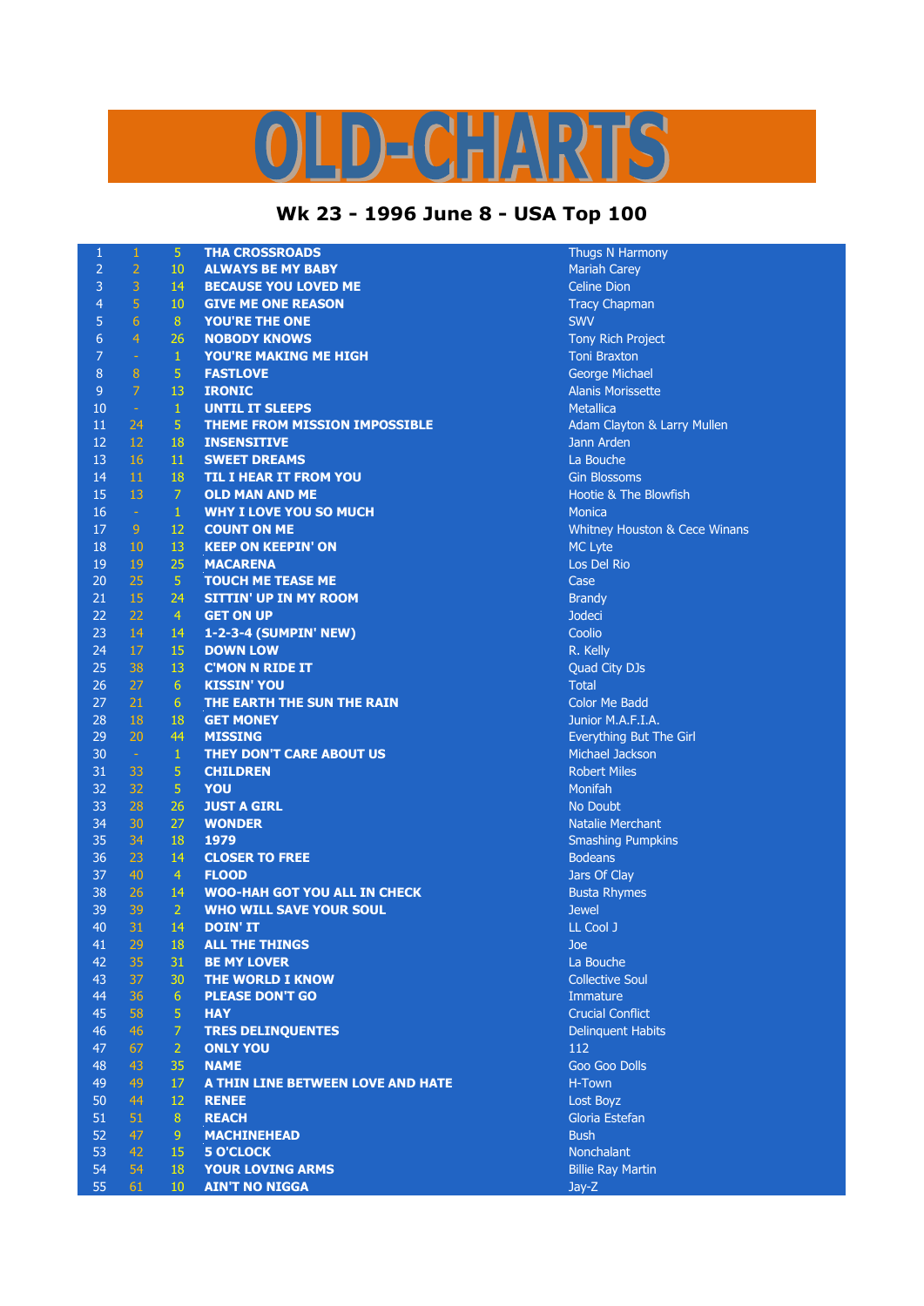## D-CHARTS L,

## **Wk 23 - 1996 June 8 - USA Top 100**

| $\mathbf{1}$   | $\mathbf 1$    | $\overline{5}$  | <b>THA CROSSROADS</b>                | Thugs N Harmony                  |
|----------------|----------------|-----------------|--------------------------------------|----------------------------------|
| $\overline{2}$ | $\overline{2}$ | 10              | <b>ALWAYS BE MY BABY</b>             | <b>Mariah Carey</b>              |
| 3              | 3              | 14              | <b>BECAUSE YOU LOVED ME</b>          | <b>Celine Dion</b>               |
| 4              | 5              | 10              | <b>GIVE ME ONE REASON</b>            | <b>Tracy Chapman</b>             |
| 5              | 6              | 8               | YOU'RE THE ONE                       | <b>SWV</b>                       |
| 6              | $\overline{4}$ | 26              | <b>NOBODY KNOWS</b>                  | <b>Tony Rich Project</b>         |
| 7              | $\blacksquare$ | $\mathbf{1}$    | <b>YOU'RE MAKING ME HIGH</b>         | <b>Toni Braxton</b>              |
| 8              | $\overline{8}$ | 5               | <b>FASTLOVE</b>                      | <b>George Michael</b>            |
| 9              | 7              | 13              | <b>IRONIC</b>                        | <b>Alanis Morissette</b>         |
| 10             | $\rightarrow$  | $\mathbf 1$     | <b>UNTIL IT SLEEPS</b>               | <b>Metallica</b>                 |
| 11             | 24             | 5               | <b>THEME FROM MISSION IMPOSSIBLE</b> | Adam Clayton & Larry Mullen      |
| 12             | 12             | 18              | <b>INSENSITIVE</b>                   | Jann Arden                       |
| 13             | 16             | 11              | <b>SWEET DREAMS</b>                  | La Bouche                        |
| 14             | 11             | 18              | <b>TIL I HEAR IT FROM YOU</b>        | <b>Gin Blossoms</b>              |
| 15             | 13             | $\overline{7}$  | <b>OLD MAN AND ME</b>                | <b>Hootie &amp; The Blowfish</b> |
| 16             | $\pm$          | $\mathbf{1}$    | <b>WHY I LOVE YOU SO MUCH</b>        | <b>Monica</b>                    |
| 17             | 9              | 12              | <b>COUNT ON ME</b>                   | Whitney Houston & Cece Winans    |
| 18             | 10             | 13              | <b>KEEP ON KEEPIN' ON</b>            | <b>MC Lyte</b>                   |
| 19             | 19             | 25              | <b>MACARENA</b>                      | Los Del Rio                      |
| 20             | 25             | $\overline{5}$  | <b>TOUCH ME TEASE ME</b>             | Case                             |
| 21             | 15             | 24              | <b>SITTIN' UP IN MY ROOM</b>         | <b>Brandy</b>                    |
| 22             | 22             | $\overline{4}$  | <b>GET ON UP</b>                     | <b>Jodeci</b>                    |
| 23             | 14             | 14              | 1-2-3-4 (SUMPIN' NEW)                | Coolio                           |
| 24             | 17             | 15              | <b>DOWN LOW</b>                      | R. Kelly                         |
| 25             | 38             | 13              | <b>C'MON N RIDE IT</b>               | Quad City DJs                    |
| 26             | 27             | 6               | <b>KISSIN' YOU</b>                   | <b>Total</b>                     |
| 27             | 21             | 6               | THE EARTH THE SUN THE RAIN           | <b>Color Me Badd</b>             |
| 28             | 18             | 18              | <b>GET MONEY</b>                     | Junior M.A.F.I.A.                |
| 29             | 20             | 44              | <b>MISSING</b>                       | Everything But The Girl          |
| 30             | $\sim$         | $\mathbf 1$     | THEY DON'T CARE ABOUT US             | Michael Jackson                  |
| 31             | 33             | 5               | <b>CHILDREN</b>                      | <b>Robert Miles</b>              |
| 32             | 32             | $\overline{5}$  | <b>YOU</b>                           | Monifah                          |
| 33             | 28             | 26              | <b>JUST A GIRL</b>                   | <b>No Doubt</b>                  |
| 34             | 30             | 27              | <b>WONDER</b>                        | <b>Natalie Merchant</b>          |
| 35             | 34             | 18              | 1979                                 | <b>Smashing Pumpkins</b>         |
| 36             | 23             | 14              | <b>CLOSER TO FREE</b>                | <b>Bodeans</b>                   |
| 37             | 40             | $\overline{4}$  | <b>FLOOD</b>                         | Jars Of Clay                     |
| 38             | 26             | 14              | <b>WOO-HAH GOT YOU ALL IN CHECK</b>  | <b>Busta Rhymes</b>              |
| 39             | 39             | $\overline{2}$  | <b>WHO WILL SAVE YOUR SOUL</b>       | <b>Jewel</b>                     |
| 40             | 31             | 14              | <b>DOIN' IT</b>                      | LL Cool J                        |
| 41             | 29             | 18              | <b>ALL THE THINGS</b>                | Joe                              |
| 42             | 35             | 31              | <b>BE MY LOVER</b>                   | La Bouche                        |
| 43             | 37             | 30              | THE WORLD I KNOW                     | <b>Collective Soul</b>           |
| 44             | 36             | $6\phantom{1}6$ | <b>PLEASE DON'T GO</b>               | Immature                         |
| 45             | 58             | 5               | <b>HAY</b>                           | <b>Crucial Conflict</b>          |
| 46             | 46             | $\overline{7}$  | <b>TRES DELINQUENTES</b>             | <b>Delinquent Habits</b>         |
| 47             | 67             | $\overline{2}$  | <b>ONLY YOU</b>                      | 112                              |
| 48             | 43             | 35              | <b>NAME</b>                          | <b>Goo Goo Dolls</b>             |
|                | 49             | 17              |                                      | H-Town                           |
| 49             |                |                 | A THIN LINE BETWEEN LOVE AND HATE    |                                  |
| 50<br>51       | 44             | 12<br>8         | <b>RENEE</b>                         | Lost Boyz                        |
|                | 51             |                 | <b>REACH</b>                         | Gloria Estefan                   |
| 52             | 47             | $\overline{9}$  | <b>MACHINEHEAD</b>                   | <b>Bush</b>                      |
| 53             | 42             | 15              | <b>5 O'CLOCK</b>                     | Nonchalant                       |
| 54             | 54             | 18              | <b>YOUR LOVING ARMS</b>              | <b>Billie Ray Martin</b>         |
| 55             | 61             | 10              | <b>AIN'T NO NIGGA</b>                | Jay-Z                            |